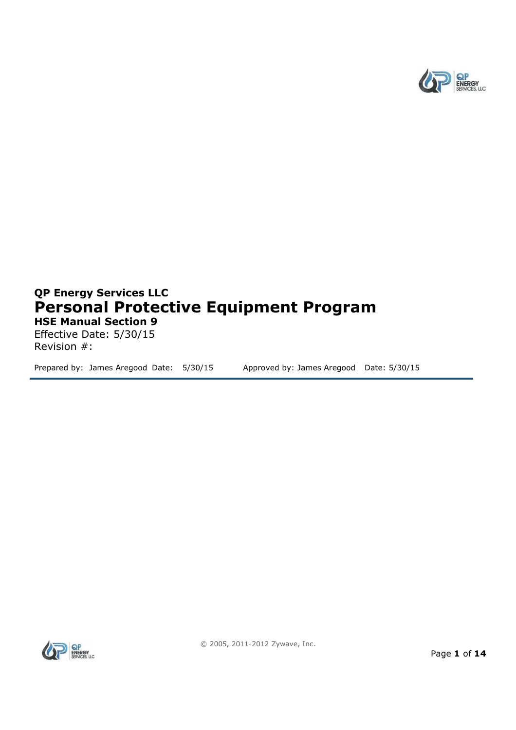

# **QP Energy Services LLC Personal Protective Equipment Program HSE Manual Section 9**

Effective Date: 5/30/15 Revision #:

Prepared by: James Aregood Date: 5/30/15 Approved by: James Aregood Date: 5/30/15

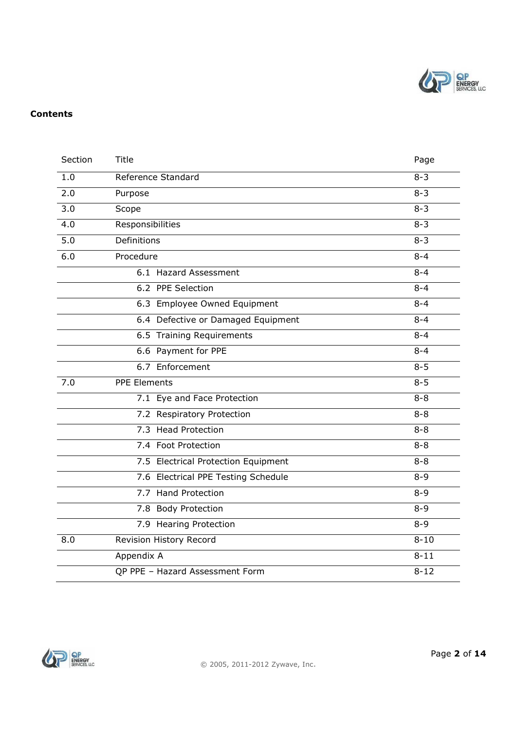

#### **Contents**

| Section | Title                               | Page     |
|---------|-------------------------------------|----------|
| 1.0     | Reference Standard                  | $8 - 3$  |
| 2.0     | Purpose                             | $8 - 3$  |
| 3.0     | Scope                               | $8 - 3$  |
| 4.0     | Responsibilities                    | $8 - 3$  |
| 5.0     | Definitions                         | $8 - 3$  |
| 6.0     | Procedure                           | $8 - 4$  |
|         | 6.1 Hazard Assessment               | $8 - 4$  |
|         | 6.2 PPE Selection                   | $8 - 4$  |
|         | 6.3 Employee Owned Equipment        | $8 - 4$  |
|         | 6.4 Defective or Damaged Equipment  | $8 - 4$  |
|         | 6.5 Training Requirements           | $8 - 4$  |
|         | 6.6 Payment for PPE                 | $8 - 4$  |
|         | 6.7 Enforcement                     | $8 - 5$  |
| 7.0     | PPE Elements                        | $8 - 5$  |
|         | 7.1 Eye and Face Protection         | $8 - 8$  |
|         | 7.2 Respiratory Protection          | $8 - 8$  |
|         | 7.3 Head Protection                 | $8 - 8$  |
|         | 7.4 Foot Protection                 | $8 - 8$  |
|         | 7.5 Electrical Protection Equipment | $8 - 8$  |
|         | 7.6 Electrical PPE Testing Schedule | $8 - 9$  |
|         | 7.7 Hand Protection                 | $8 - 9$  |
|         | 7.8 Body Protection                 | $8 - 9$  |
|         | 7.9 Hearing Protection              | $8 - 9$  |
| 8.0     | Revision History Record             | $8 - 10$ |
|         | Appendix A                          | $8 - 11$ |
|         | QP PPE - Hazard Assessment Form     | $8 - 12$ |

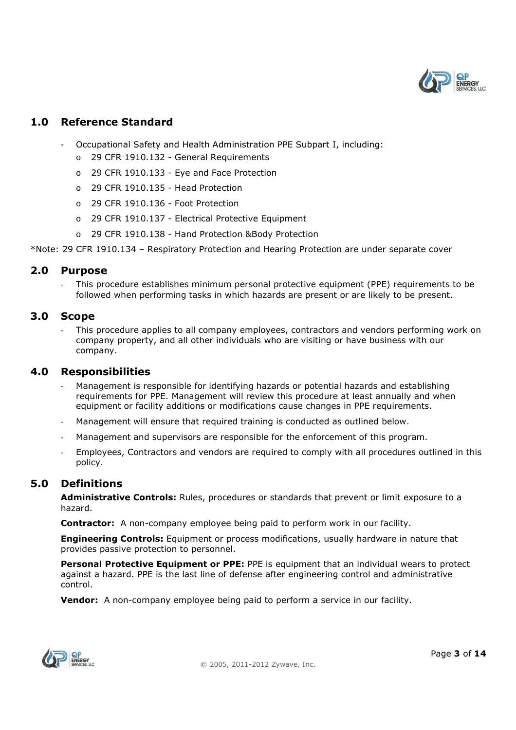

#### **1.0 Reference Standard**

- Occupational Safety and Health Administration PPE Subpart I, including:
	- o 29 CFR 1910.132 General Requirements
	- o 29 CFR 1910.133 Eye and Face Protection
	- o 29 CFR 1910.135 Head Protection
	- o 29 CFR 1910.136 Foot Protection
	- o 29 CFR 1910.137 Electrical Protective Equipment
	- o 29 CFR 1910.138 Hand Protection &Body Protection

\*Note: 29 CFR 1910.134 – Respiratory Protection and Hearing Protection are under separate cover

#### **2.0 Purpose**

- This procedure establishes minimum personal protective equipment (PPE) requirements to be followed when performing tasks in which hazards are present or are likely to be present.

#### **3.0 Scope**

This procedure applies to all company employees, contractors and vendors performing work on company property, and all other individuals who are visiting or have business with our company.

#### **4.0 Responsibilities**

- Management is responsible for identifying hazards or potential hazards and establishing requirements for PPE. Management will review this procedure at least annually and when equipment or facility additions or modifications cause changes in PPE requirements.
- Management will ensure that required training is conducted as outlined below.
- Management and supervisors are responsible for the enforcement of this program.
- Employees, Contractors and vendors are required to comply with all procedures outlined in this policy.

#### **5.0 Definitions**

**Administrative Controls:** Rules, procedures or standards that prevent or limit exposure to a hazard.

**Contractor:** A non-company employee being paid to perform work in our facility.

**Engineering Controls:** Equipment or process modifications, usually hardware in nature that provides passive protection to personnel.

**Personal Protective Equipment or PPE:** PPE is equipment that an individual wears to protect against a hazard. PPE is the last line of defense after engineering control and administrative control.

**Vendor:** A non-company employee being paid to perform a service in our facility.

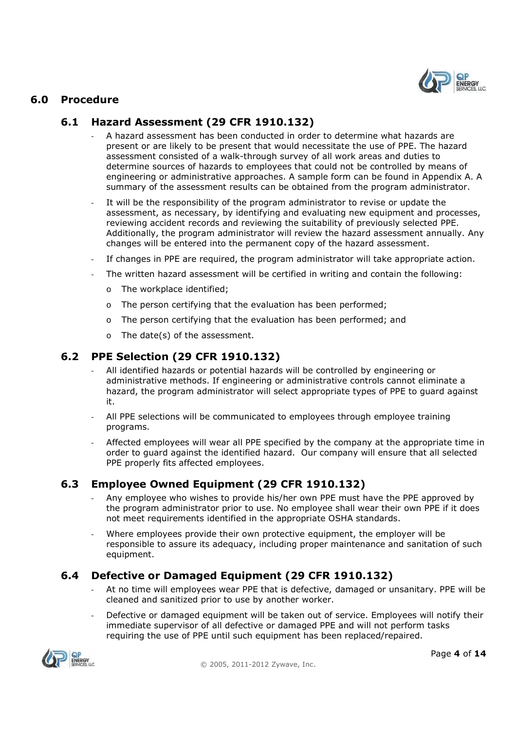

### **6.0 Procedure**

## **6.1 Hazard Assessment (29 CFR 1910.132)**

- A hazard assessment has been conducted in order to determine what hazards are present or are likely to be present that would necessitate the use of PPE. The hazard assessment consisted of a walk-through survey of all work areas and duties to determine sources of hazards to employees that could not be controlled by means of engineering or administrative approaches. A sample form can be found in Appendix A. A summary of the assessment results can be obtained from the program administrator.
- It will be the responsibility of the program administrator to revise or update the assessment, as necessary, by identifying and evaluating new equipment and processes, reviewing accident records and reviewing the suitability of previously selected PPE. Additionally, the program administrator will review the hazard assessment annually. Any changes will be entered into the permanent copy of the hazard assessment.
- If changes in PPE are required, the program administrator will take appropriate action.
- The written hazard assessment will be certified in writing and contain the following:
	- o The workplace identified;
	- o The person certifying that the evaluation has been performed;
	- o The person certifying that the evaluation has been performed; and
	- o The date(s) of the assessment.

#### **6.2 PPE Selection (29 CFR 1910.132)**

- All identified hazards or potential hazards will be controlled by engineering or administrative methods. If engineering or administrative controls cannot eliminate a hazard, the program administrator will select appropriate types of PPE to guard against it.
- All PPE selections will be communicated to employees through employee training programs.
- Affected employees will wear all PPE specified by the company at the appropriate time in order to guard against the identified hazard. Our company will ensure that all selected PPE properly fits affected employees.

# **6.3 Employee Owned Equipment (29 CFR 1910.132)**

- Any employee who wishes to provide his/her own PPE must have the PPE approved by the program administrator prior to use. No employee shall wear their own PPE if it does not meet requirements identified in the appropriate OSHA standards.
- Where employees provide their own protective equipment, the employer will be responsible to assure its adequacy, including proper maintenance and sanitation of such equipment.

# **6.4 Defective or Damaged Equipment (29 CFR 1910.132)**

- At no time will employees wear PPE that is defective, damaged or unsanitary. PPE will be cleaned and sanitized prior to use by another worker.
- Defective or damaged equipment will be taken out of service. Employees will notify their immediate supervisor of all defective or damaged PPE and will not perform tasks requiring the use of PPE until such equipment has been replaced/repaired.

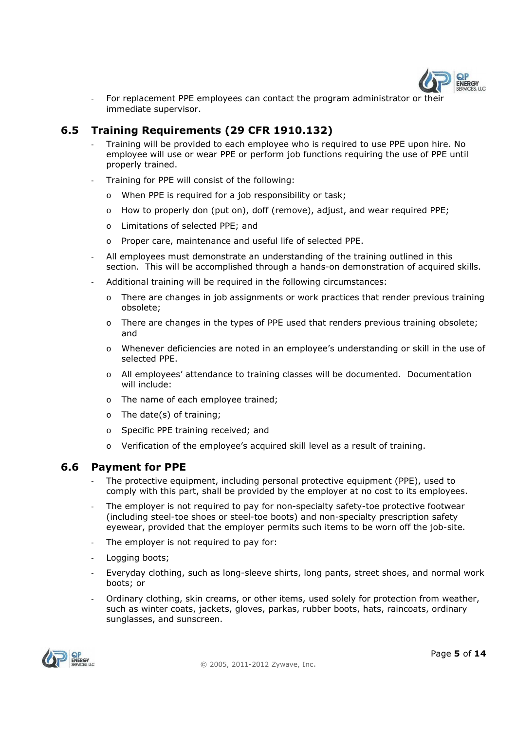

- For replacement PPE employees can contact the program administrator or their immediate supervisor.

# **6.5 Training Requirements (29 CFR 1910.132)**

- Training will be provided to each employee who is required to use PPE upon hire. No employee will use or wear PPE or perform job functions requiring the use of PPE until properly trained.
- Training for PPE will consist of the following:
	- o When PPE is required for a job responsibility or task;
	- o How to properly don (put on), doff (remove), adjust, and wear required PPE;
	- o Limitations of selected PPE; and
	- o Proper care, maintenance and useful life of selected PPE.
- All employees must demonstrate an understanding of the training outlined in this section. This will be accomplished through a hands-on demonstration of acquired skills.
- Additional training will be required in the following circumstances:
	- o There are changes in job assignments or work practices that render previous training obsolete;
	- o There are changes in the types of PPE used that renders previous training obsolete; and
	- o Whenever deficiencies are noted in an employee's understanding or skill in the use of selected PPE.
	- o All employees' attendance to training classes will be documented. Documentation will include:
	- o The name of each employee trained;
	- o The date(s) of training;
	- o Specific PPE training received; and
	- o Verification of the employee's acquired skill level as a result of training.

#### **6.6 Payment for PPE**

- The protective equipment, including personal protective equipment (PPE), used to comply with this part, shall be provided by the employer at no cost to its employees.
- The employer is not required to pay for non-specialty safety-toe protective footwear (including steel-toe shoes or steel-toe boots) and non-specialty prescription safety eyewear, provided that the employer permits such items to be worn off the job-site.
- The employer is not required to pay for:
- Logging boots;
- Everyday clothing, such as long-sleeve shirts, long pants, street shoes, and normal work boots; or
- Ordinary clothing, skin creams, or other items, used solely for protection from weather, such as winter coats, jackets, gloves, parkas, rubber boots, hats, raincoats, ordinary sunglasses, and sunscreen.

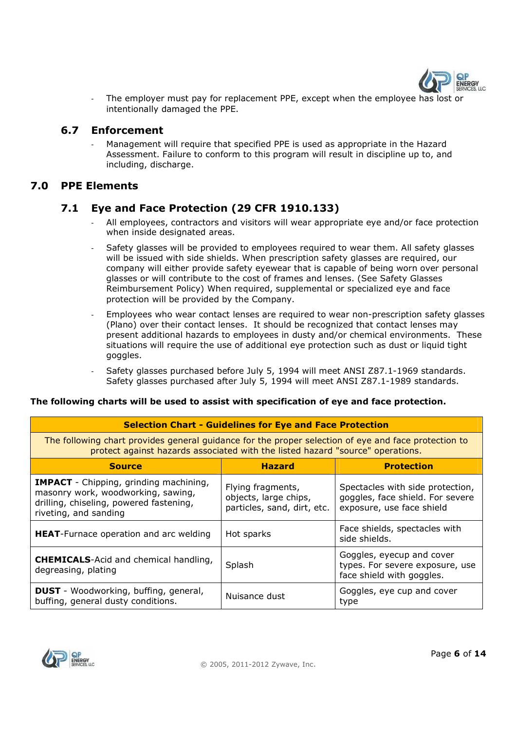

- The employer must pay for replacement PPE, except when the employee has lost or intentionally damaged the PPE.

#### **6.7 Enforcement**

- Management will require that specified PPE is used as appropriate in the Hazard Assessment. Failure to conform to this program will result in discipline up to, and including, discharge.

#### **7.0 PPE Elements**

#### **7.1 Eye and Face Protection (29 CFR 1910.133)**

- All employees, contractors and visitors will wear appropriate eye and/or face protection when inside designated areas.
- Safety glasses will be provided to employees required to wear them. All safety glasses will be issued with side shields. When prescription safety glasses are required, our company will either provide safety eyewear that is capable of being worn over personal glasses or will contribute to the cost of frames and lenses. (See Safety Glasses Reimbursement Policy) When required, supplemental or specialized eye and face protection will be provided by the Company.
- Employees who wear contact lenses are required to wear non-prescription safety glasses (Plano) over their contact lenses. It should be recognized that contact lenses may present additional hazards to employees in dusty and/or chemical environments. These situations will require the use of additional eye protection such as dust or liquid tight goggles.
- Safety glasses purchased before July 5, 1994 will meet ANSI Z87.1-1969 standards. Safety glasses purchased after July 5, 1994 will meet ANSI Z87.1-1989 standards.

#### **The following charts will be used to assist with specification of eye and face protection.**

| <b>Selection Chart - Guidelines for Eye and Face Protection</b>                                                                                                                        |                                                                           |                                                                                                   |  |  |  |
|----------------------------------------------------------------------------------------------------------------------------------------------------------------------------------------|---------------------------------------------------------------------------|---------------------------------------------------------------------------------------------------|--|--|--|
| The following chart provides general guidance for the proper selection of eye and face protection to<br>protect against hazards associated with the listed hazard "source" operations. |                                                                           |                                                                                                   |  |  |  |
| <b>Source</b>                                                                                                                                                                          | <b>Hazard</b>                                                             | <b>Protection</b>                                                                                 |  |  |  |
| <b>IMPACT</b> - Chipping, grinding machining,<br>masonry work, woodworking, sawing,<br>drilling, chiseling, powered fastening,<br>riveting, and sanding                                | Flying fragments,<br>objects, large chips,<br>particles, sand, dirt, etc. | Spectacles with side protection,<br>goggles, face shield. For severe<br>exposure, use face shield |  |  |  |
| <b>HEAT-Furnace operation and arc welding</b>                                                                                                                                          | Hot sparks                                                                | Face shields, spectacles with<br>side shields.                                                    |  |  |  |
| <b>CHEMICALS-Acid and chemical handling,</b><br>degreasing, plating                                                                                                                    | Splash                                                                    | Goggles, eyecup and cover<br>types. For severe exposure, use<br>face shield with goggles.         |  |  |  |
| <b>DUST</b> - Woodworking, buffing, general,<br>buffing, general dusty conditions.                                                                                                     | Nuisance dust                                                             | Goggles, eye cup and cover<br>type                                                                |  |  |  |

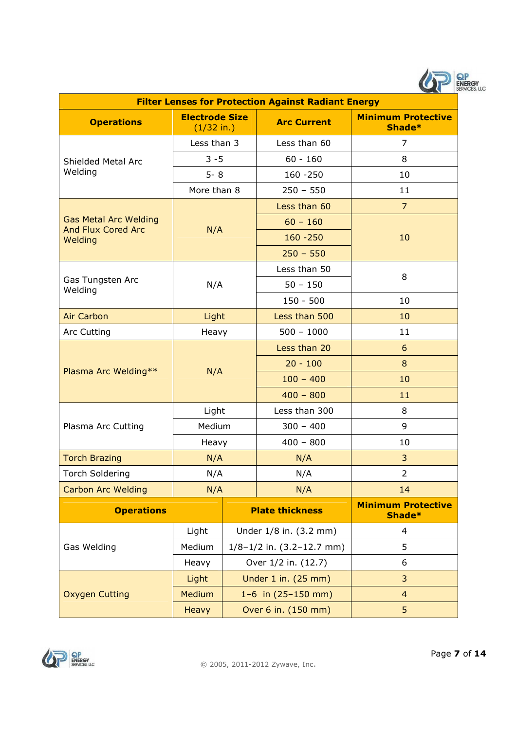

| <b>Filter Lenses for Protection Against Radiant Energy</b> |                                       |                                   |                        |                                     |  |  |
|------------------------------------------------------------|---------------------------------------|-----------------------------------|------------------------|-------------------------------------|--|--|
| <b>Operations</b>                                          | <b>Electrode Size</b><br>$(1/32$ in.) |                                   | <b>Arc Current</b>     | <b>Minimum Protective</b><br>Shade* |  |  |
|                                                            | Less than 3                           |                                   | Less than 60           | 7                                   |  |  |
| Shielded Metal Arc                                         | $3 - 5$                               |                                   | $60 - 160$             | 8                                   |  |  |
| Welding                                                    | $5 - 8$                               |                                   | $160 - 250$            | 10                                  |  |  |
|                                                            | More than 8                           |                                   | $250 - 550$            | 11                                  |  |  |
|                                                            |                                       |                                   | Less than 60           | $\overline{7}$                      |  |  |
| <b>Gas Metal Arc Welding</b><br><b>And Flux Cored Arc</b>  | N/A                                   |                                   | $60 - 160$             |                                     |  |  |
| Welding                                                    |                                       |                                   | $160 - 250$            | 10                                  |  |  |
|                                                            |                                       |                                   | $250 - 550$            |                                     |  |  |
|                                                            |                                       |                                   | Less than 50           | 8                                   |  |  |
| Gas Tungsten Arc<br>Welding                                | N/A                                   |                                   | $50 - 150$             |                                     |  |  |
|                                                            |                                       |                                   | $150 - 500$            | 10                                  |  |  |
| <b>Air Carbon</b>                                          | Light                                 |                                   | Less than 500          | 10                                  |  |  |
| <b>Arc Cutting</b>                                         | Heavy                                 |                                   | $500 - 1000$           | 11                                  |  |  |
|                                                            | N/A                                   |                                   | Less than 20           | 6                                   |  |  |
| Plasma Arc Welding**                                       |                                       |                                   | $20 - 100$             | 8                                   |  |  |
|                                                            |                                       |                                   | $100 - 400$            | 10                                  |  |  |
|                                                            |                                       |                                   | $400 - 800$            | 11                                  |  |  |
|                                                            | Light                                 |                                   | Less than 300          | 8                                   |  |  |
| Plasma Arc Cutting                                         | Medium                                |                                   | $300 - 400$            | 9                                   |  |  |
|                                                            | Heavy                                 |                                   | $400 - 800$            | 10                                  |  |  |
| <b>Torch Brazing</b>                                       | N/A                                   |                                   | N/A                    | 3                                   |  |  |
| <b>Torch Soldering</b>                                     | N/A                                   |                                   | N/A                    | $\overline{2}$                      |  |  |
| <b>Carbon Arc Welding</b>                                  | N/A                                   |                                   | N/A                    | 14                                  |  |  |
| <b>Operations</b>                                          |                                       | <b>Plate thickness</b>            |                        | <b>Minimum Protective</b><br>Shade* |  |  |
|                                                            | Light                                 |                                   | Under 1/8 in. (3.2 mm) | 4                                   |  |  |
| Gas Welding                                                | Medium                                | $1/8 - 1/2$ in. $(3.2 - 12.7$ mm) |                        | 5                                   |  |  |
|                                                            | Heavy                                 | Over 1/2 in. (12.7)               |                        | 6                                   |  |  |
|                                                            | Light                                 |                                   | Under 1 in. (25 mm)    | 3                                   |  |  |
| <b>Oxygen Cutting</b>                                      | <b>Medium</b>                         | $1-6$ in $(25-150$ mm)            |                        | $\overline{4}$                      |  |  |
|                                                            | <b>Heavy</b>                          | Over 6 in. (150 mm)               |                        | 5                                   |  |  |

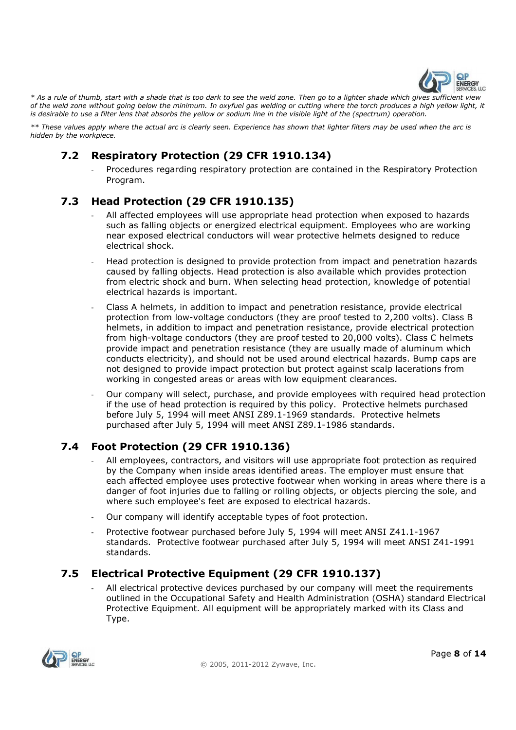

*\* As a rule of thumb, start with a shade that is too dark to see the weld zone. Then go to a lighter shade which gives sufficient view of the weld zone without going below the minimum. In oxyfuel gas welding or cutting where the torch produces a high yellow light, it is desirable to use a filter lens that absorbs the yellow or sodium line in the visible light of the (spectrum) operation.* 

*\*\* These values apply where the actual arc is clearly seen. Experience has shown that lighter filters may be used when the arc is hidden by the workpiece.* 

# **7.2 Respiratory Protection (29 CFR 1910.134)**

- Procedures regarding respiratory protection are contained in the Respiratory Protection Program.

# **7.3 Head Protection (29 CFR 1910.135)**

- All affected employees will use appropriate head protection when exposed to hazards such as falling objects or energized electrical equipment. Employees who are working near exposed electrical conductors will wear protective helmets designed to reduce electrical shock.
- Head protection is designed to provide protection from impact and penetration hazards caused by falling objects. Head protection is also available which provides protection from electric shock and burn. When selecting head protection, knowledge of potential electrical hazards is important.
- Class A helmets, in addition to impact and penetration resistance, provide electrical protection from low-voltage conductors (they are proof tested to 2,200 volts). Class B helmets, in addition to impact and penetration resistance, provide electrical protection from high-voltage conductors (they are proof tested to 20,000 volts). Class C helmets provide impact and penetration resistance (they are usually made of aluminum which conducts electricity), and should not be used around electrical hazards. Bump caps are not designed to provide impact protection but protect against scalp lacerations from working in congested areas or areas with low equipment clearances.
- Our company will select, purchase, and provide employees with required head protection if the use of head protection is required by this policy. Protective helmets purchased before July 5, 1994 will meet ANSI Z89.1-1969 standards. Protective helmets purchased after July 5, 1994 will meet ANSI Z89.1-1986 standards.

# **7.4 Foot Protection (29 CFR 1910.136)**

- All employees, contractors, and visitors will use appropriate foot protection as required by the Company when inside areas identified areas. The employer must ensure that each affected employee uses protective footwear when working in areas where there is a danger of foot injuries due to falling or rolling objects, or objects piercing the sole, and where such employee's feet are exposed to electrical hazards.
- Our company will identify acceptable types of foot protection.
- Protective footwear purchased before July 5, 1994 will meet ANSI Z41.1-1967 standards. Protective footwear purchased after July 5, 1994 will meet ANSI Z41-1991 standards.

# **7.5 Electrical Protective Equipment (29 CFR 1910.137)**

All electrical protective devices purchased by our company will meet the requirements outlined in the Occupational Safety and Health Administration (OSHA) standard Electrical Protective Equipment. All equipment will be appropriately marked with its Class and Type.

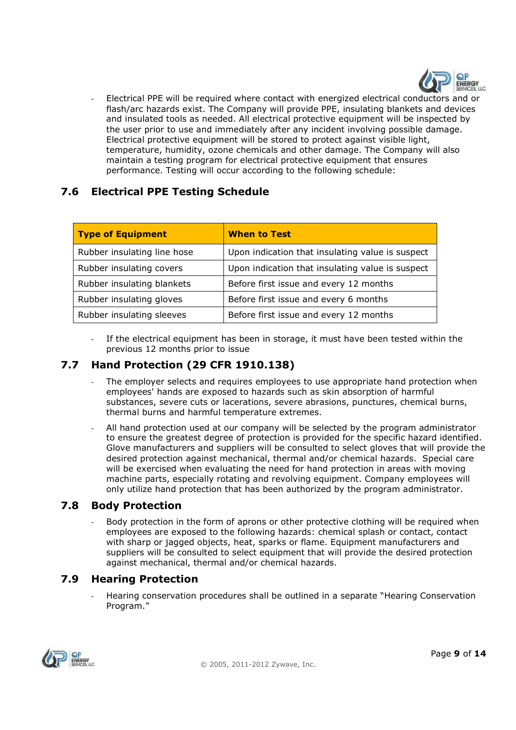

- Electrical PPE will be required where contact with energized electrical conductors and or flash/arc hazards exist. The Company will provide PPE, insulating blankets and devices and insulated tools as needed. All electrical protective equipment will be inspected by the user prior to use and immediately after any incident involving possible damage. Electrical protective equipment will be stored to protect against visible light, temperature, humidity, ozone chemicals and other damage. The Company will also maintain a testing program for electrical protective equipment that ensures performance. Testing will occur according to the following schedule:

# **7.6 Electrical PPE Testing Schedule**

| <b>Type of Equipment</b>    | <b>When to Test</b>                              |
|-----------------------------|--------------------------------------------------|
| Rubber insulating line hose | Upon indication that insulating value is suspect |
| Rubber insulating covers    | Upon indication that insulating value is suspect |
| Rubber insulating blankets  | Before first issue and every 12 months           |
| Rubber insulating gloves    | Before first issue and every 6 months            |
| Rubber insulating sleeves   | Before first issue and every 12 months           |

If the electrical equipment has been in storage, it must have been tested within the previous 12 months prior to issue

# **7.7 Hand Protection (29 CFR 1910.138)**

- The employer selects and requires employees to use appropriate hand protection when employees' hands are exposed to hazards such as skin absorption of harmful substances, severe cuts or lacerations, severe abrasions, punctures, chemical burns, thermal burns and harmful temperature extremes.
- All hand protection used at our company will be selected by the program administrator to ensure the greatest degree of protection is provided for the specific hazard identified. Glove manufacturers and suppliers will be consulted to select gloves that will provide the desired protection against mechanical, thermal and/or chemical hazards. Special care will be exercised when evaluating the need for hand protection in areas with moving machine parts, especially rotating and revolving equipment. Company employees will only utilize hand protection that has been authorized by the program administrator.

# **7.8 Body Protection**

Body protection in the form of aprons or other protective clothing will be required when employees are exposed to the following hazards: chemical splash or contact, contact with sharp or jagged objects, heat, sparks or flame. Equipment manufacturers and suppliers will be consulted to select equipment that will provide the desired protection against mechanical, thermal and/or chemical hazards.

# **7.9 Hearing Protection**

- Hearing conservation procedures shall be outlined in a separate "Hearing Conservation Program."

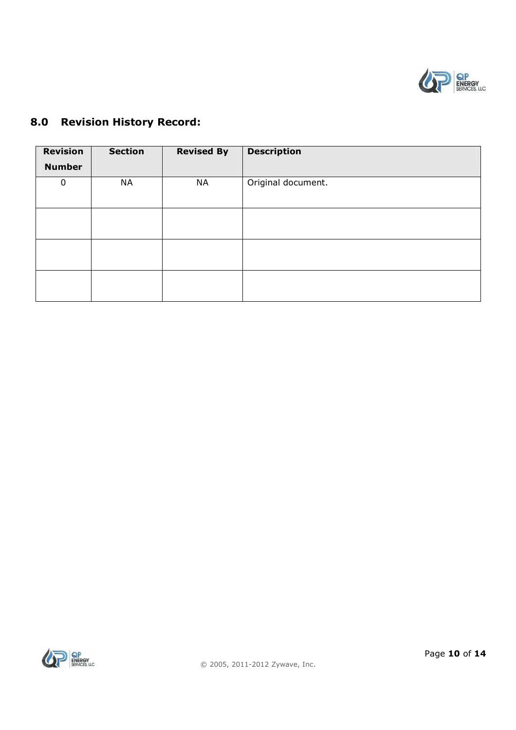

# **Revision Number Section Revised By Description** 0 NA NA Original document.

# **8.0 Revision History Record:**

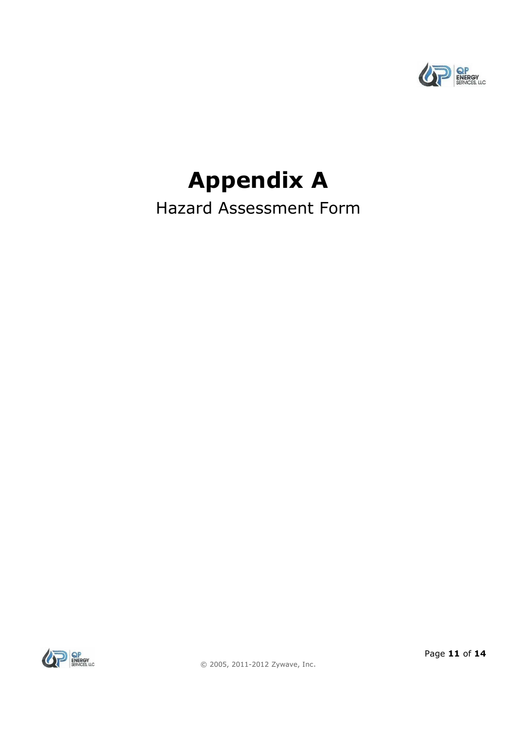

# **Appendix A**

Hazard Assessment Form

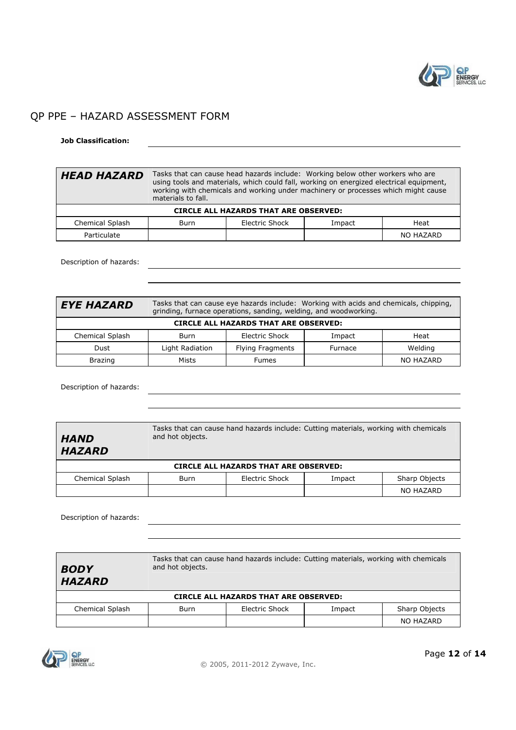

# QP PPE – HAZARD ASSESSMENT FORM

#### **Job Classification:**

| <b>HEAD HAZARD</b>                                          | Tasks that can cause head hazards include: Working below other workers who are<br>using tools and materials, which could fall, working on energized electrical equipment,<br>working with chemicals and working under machinery or processes which might cause<br>materials to fall. |  |  |           |  |
|-------------------------------------------------------------|--------------------------------------------------------------------------------------------------------------------------------------------------------------------------------------------------------------------------------------------------------------------------------------|--|--|-----------|--|
| <b>CIRCLE ALL HAZARDS THAT ARE OBSERVED:</b>                |                                                                                                                                                                                                                                                                                      |  |  |           |  |
| Electric Shock<br>Chemical Splash<br>Heat<br>Impact<br>Burn |                                                                                                                                                                                                                                                                                      |  |  |           |  |
| Particulate                                                 |                                                                                                                                                                                                                                                                                      |  |  | NO HAZARD |  |

Description of hazards:

| <b>EYE HAZARD</b>                            | Tasks that can cause eye hazards include: Working with acids and chemicals, chipping,<br>grinding, furnace operations, sanding, welding, and woodworking. |                  |         |           |  |
|----------------------------------------------|-----------------------------------------------------------------------------------------------------------------------------------------------------------|------------------|---------|-----------|--|
| <b>CIRCLE ALL HAZARDS THAT ARE OBSERVED:</b> |                                                                                                                                                           |                  |         |           |  |
| Chemical Splash                              | Burn                                                                                                                                                      | Electric Shock   | Impact  | Heat      |  |
| Dust                                         | Light Radiation                                                                                                                                           | Flying Fragments | Furnace | Welding   |  |
| <b>Brazing</b>                               | Mists                                                                                                                                                     | <b>Fumes</b>     |         | NO HAZARD |  |

Description of hazards:

Tasks that can cause hand hazards include: Cutting materials, working with chemicals and hot objects.

#### *HAND HAZARD*

**CIRCLE ALL HAZARDS THAT ARE OBSERVED:** 

Chemical Splash | Burn | Electric Shock | Impact | Sharp Objects NO HAZARD

Description of hazards:

| <b>BODY</b><br><b>HAZARD</b>                 | Tasks that can cause hand hazards include: Cutting materials, working with chemicals<br>and hot objects. |                |        |               |  |
|----------------------------------------------|----------------------------------------------------------------------------------------------------------|----------------|--------|---------------|--|
| <b>CIRCLE ALL HAZARDS THAT ARE OBSERVED:</b> |                                                                                                          |                |        |               |  |
| Chemical Splash                              | Burn                                                                                                     | Electric Shock | Impact | Sharp Objects |  |
|                                              |                                                                                                          |                |        | NO HAZARD     |  |

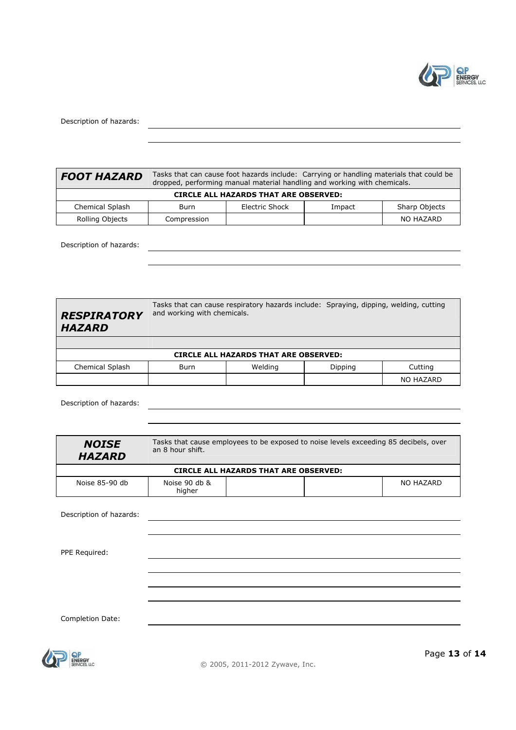

Description of hazards:

| <b>FOOT HAZARD</b>                           | Tasks that can cause foot hazards include: Carrying or handling materials that could be<br>dropped, performing manual material handling and working with chemicals. |                |        |                      |  |  |
|----------------------------------------------|---------------------------------------------------------------------------------------------------------------------------------------------------------------------|----------------|--------|----------------------|--|--|
| <b>CIRCLE ALL HAZARDS THAT ARE OBSERVED:</b> |                                                                                                                                                                     |                |        |                      |  |  |
| Chemical Splash                              | Burn                                                                                                                                                                | Electric Shock | Impact | <b>Sharp Objects</b> |  |  |
| Rolling Objects                              | Compression                                                                                                                                                         |                |        | NO HAZARD            |  |  |

Description of hazards:

*RESPIRATORY*  and working with chemicals. Tasks that can cause respiratory hazards include: Spraying, dipping, welding, cutting

|                        |                                       | <b>CIRCLE ALL HAZARDS THAT ARE OBSERVED:</b> |  |           |  |  |
|------------------------|---------------------------------------|----------------------------------------------|--|-----------|--|--|
| <b>Chemical Splash</b> | Welding<br>Cutting<br>Dipping<br>Burn |                                              |  |           |  |  |
|                        |                                       |                                              |  | NO HAZARD |  |  |

Description of hazards:

*HAZARD* 

| <b>NOISE</b><br><b>HAZARD</b> | Tasks that cause employees to be exposed to noise levels exceeding 85 decibels, over<br>an 8 hour shift. |           |  |
|-------------------------------|----------------------------------------------------------------------------------------------------------|-----------|--|
|                               | <b>CIRCLE ALL HAZARDS THAT ARE OBSERVED:</b>                                                             |           |  |
| Noise 85-90 db                | Noise 90 db &<br>higher                                                                                  | NO HAZARD |  |
| Description of hazards:       |                                                                                                          |           |  |
| PPE Required:                 |                                                                                                          |           |  |
|                               |                                                                                                          |           |  |
|                               |                                                                                                          |           |  |
| Completion Date:              |                                                                                                          |           |  |